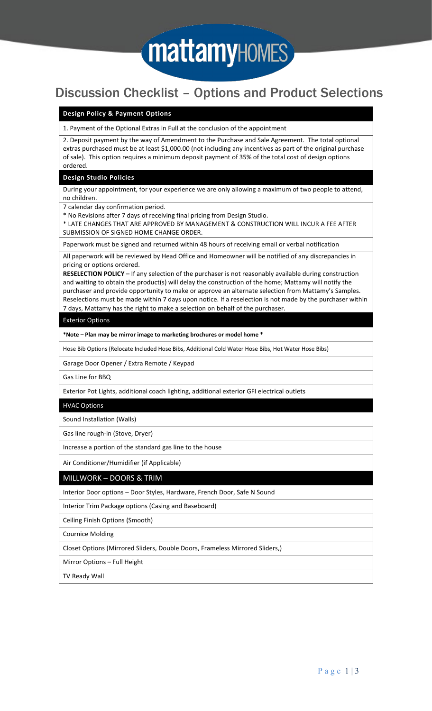

# Discussion Checklist – Options and Product Selections

# **Design Policy & Payment Options**

1. Payment of the Optional Extras in Full at the conclusion of the appointment

2. Deposit payment by the way of Amendment to the Purchase and Sale Agreement. The total optional extras purchased must be at least \$1,000.00 (not including any incentives as part of the original purchase of sale). This option requires a minimum deposit payment of 35% of the total cost of design options ordered.

#### **Design Studio Policies**

During your appointment, for your experience we are only allowing a maximum of two people to attend, no children.

7 calendar day confirmation period.

\* No Revisions after 7 days of receiving final pricing from Design Studio.

\* LATE CHANGES THAT ARE APPROVED BY MANAGEMENT & CONSTRUCTION WILL INCUR A FEE AFTER SUBMISSION OF SIGNED HOME CHANGE ORDER.

Paperwork must be signed and returned within 48 hours of receiving email or verbal notification

All paperwork will be reviewed by Head Office and Homeowner will be notified of any discrepancies in pricing or options ordered.

**RESELECTION POLICY** – If any selection of the purchaser is not reasonably available during construction and waiting to obtain the product(s) will delay the construction of the home; Mattamy will notify the purchaser and provide opportunity to make or approve an alternate selection from Mattamy's Samples. Reselections must be made within 7 days upon notice. If a reselection is not made by the purchaser within 7 days, Mattamy has the right to make a selection on behalf of the purchaser.

### Exterior Options

**\*Note – Plan may be mirror image to marketing brochures or model home \***

Hose Bib Options (Relocate Included Hose Bibs, Additional Cold Water Hose Bibs, Hot Water Hose Bibs)

Garage Door Opener / Extra Remote / Keypad

Gas Line for BBQ

Exterior Pot Lights, additional coach lighting, additional exterior GFI electrical outlets

#### HVAC Options

Sound Installation (Walls)

Gas line rough-in (Stove, Dryer)

Increase a portion of the standard gas line to the house

Air Conditioner/Humidifier (if Applicable)

# MILLWORK – DOORS & TRIM

Interior Door options – Door Styles, Hardware, French Door, Safe N Sound

Interior Trim Package options (Casing and Baseboard)

Ceiling Finish Options (Smooth)

Cournice Molding

Closet Options (Mirrored Sliders, Double Doors, Frameless Mirrored Sliders,)

Mirror Options – Full Height

TV Ready Wall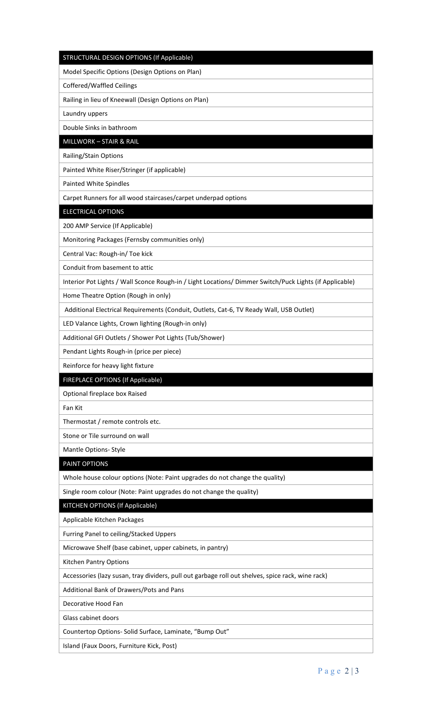### STRUCTURAL DESIGN OPTIONS (If Applicable)

Model Specific Options (Design Options on Plan)

Coffered/Waffled Ceilings

Railing in lieu of Kneewall (Design Options on Plan)

Laundry uppers

Double Sinks in bathroom

MILLWORK – STAIR & RAIL

Railing/Stain Options

Painted White Riser/Stringer (if applicable)

Painted White Spindles

Carpet Runners for all wood staircases/carpet underpad options

ELECTRICAL OPTIONS

200 AMP Service (If Applicable)

Monitoring Packages (Fernsby communities only)

Central Vac: Rough-in/ Toe kick

Conduit from basement to attic

Interior Pot Lights / Wall Sconce Rough-in / Light Locations/ Dimmer Switch/Puck Lights (if Applicable)

Home Theatre Option (Rough in only)

Additional Electrical Requirements (Conduit, Outlets, Cat-6, TV Ready Wall, USB Outlet)

LED Valance Lights, Crown lighting (Rough-in only)

Additional GFI Outlets / Shower Pot Lights (Tub/Shower)

Pendant Lights Rough-in (price per piece)

Reinforce for heavy light fixture

FIREPLACE OPTIONS (If Applicable)

Optional fireplace box Raised

Fan Kit

Thermostat / remote controls etc.

Stone or Tile surround on wall

Mantle Options- Style

PAINT OPTIONS

Whole house colour options (Note: Paint upgrades do not change the quality)

Single room colour (Note: Paint upgrades do not change the quality)

KITCHEN OPTIONS (If Applicable)

Applicable Kitchen Packages

Furring Panel to ceiling/Stacked Uppers

Microwave Shelf (base cabinet, upper cabinets, in pantry)

Kitchen Pantry Options

Accessories (lazy susan, tray dividers, pull out garbage roll out shelves, spice rack, wine rack)

Additional Bank of Drawers/Pots and Pans

Decorative Hood Fan

Glass cabinet doors

Countertop Options- Solid Surface, Laminate, "Bump Out"

Island (Faux Doors, Furniture Kick, Post)